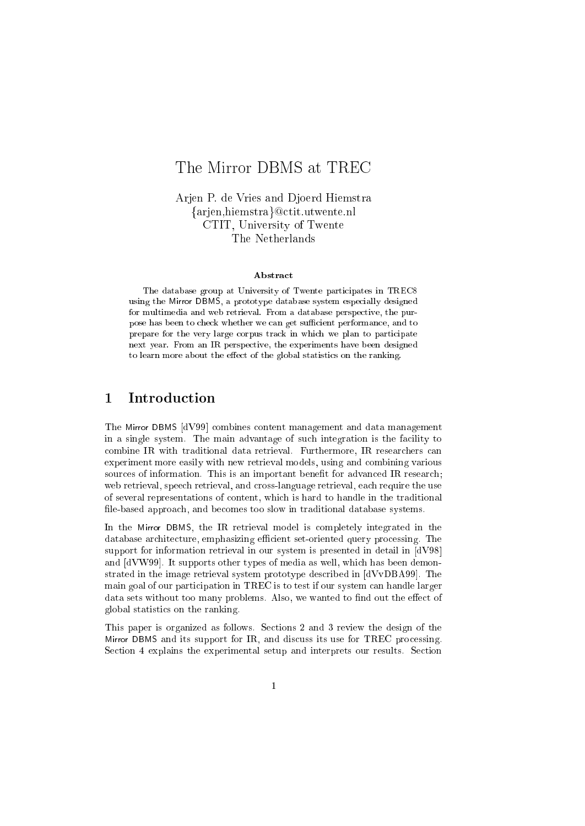# The Mirror DBMS at TREC

Arjen P. de Vries and Djoerd Hiemstra {arjen,hiemstra}@ctit.utwente.nl CTIT, University of Twente The Netherlands

### **Abstract**

The database group at University of Twente participates in TREC8 using the Mirror DBMS, a prototype database system especially designed for multimedia and web retrieval. From a database perspective, the purpose has been to check whether we can get sufficient performance, and to prepare for the very large corpus track in which we plan to participate next year. From an IR perspe
tive, the experiments have been designed to learn more about the effect of the global statistics on the ranking.

#### $\mathbf 1$ **Introduction**

The Mirror DBMS [dV99] combines content management and data management in a single system. The main advantage of such integration is the facility to combine IR with traditional data retrieval. Furthermore, IR researchers can experiment more easily with new retrieval models, using and ombining various sources of information. This is an important benefit for advanced IR research; web retrieval, speech retrieval, and cross-language retrieval, each require the use of several representations of ontent, whi
h is hard to handle in the traditional file-based approach, and becomes too slow in traditional database systems.

In the Mirror DBMS, the IR retrieval model is completely integrated in the database architecture, emphasizing efficient set-oriented query processing. The support for information retrieval in our system is presented in detail in  $[dV98]$ and  $\left[\text{d}VW99\right]$ . It supports other types of media as well, which has been demonstrated in the image retrieval system prototype described in  $[dVvDBA99]$ . The main goal of our participation in TREC is to test if our system can handle larger data sets without too many problems. Also, we wanted to find out the effect of global statisti
s on the ranking.

This paper is organized as follows. Sections 2 and 3 review the design of the Mirror DBMS and its support for IR, and discuss its use for TREC processing. Section 4 explains the experimental setup and interprets our results. Section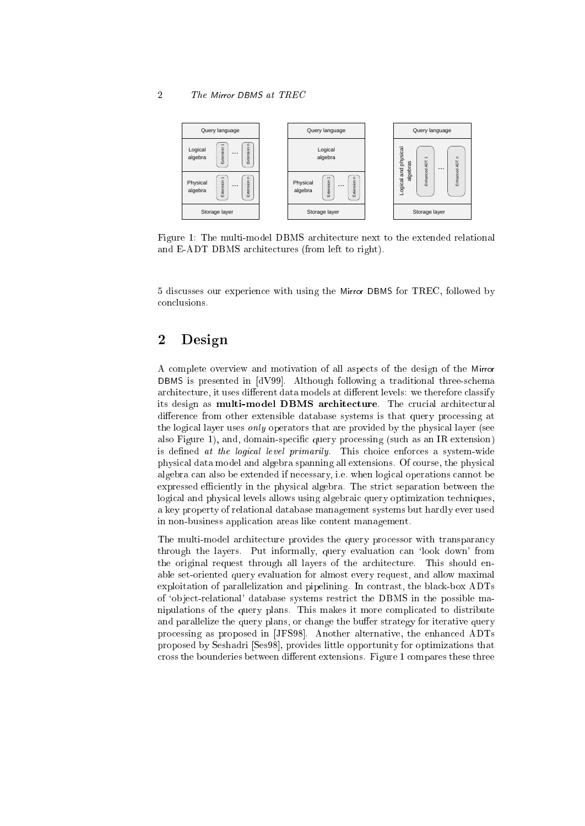### The Mirror DBMS at TREC



Figure 1: The multi-model DBMS architecture next to the extended relational and E-ADT DBMS architectures (from left to right).

5 dis
usses our experien
e with using the Mirror DBMS for TREC, followed by on
lusions.

#### $\overline{2}$ **Design**

A omplete overview and motivation of all aspe
ts of the design of the Mirror DBMS is presented in [dV99]. Although following a traditional three-schema architecture, it uses different data models at different levels: we therefore classify its design as multi-model DBMS architecture. The crucial architectural difference from other extensible database systems is that query processing at the logical layer uses *only* operators that are provided by the physical layer (see also Figure 1), and, domain-specific query processing (such as an IR extension) is defined at the logical level primarily. This choice enforces a system-wide physi
al data model and algebra spanning all extensions. Of ourse, the physi
al algebra an also be extended if ne
essary, i.e. when logi
al operations annot be expressed efficiently in the physical algebra. The strict separation between the logical and physical levels allows using algebraic query optimization techniques, a key property of relational database management systems but hardly ever used in non-business application areas like content management.

The multi-model architecture provides the query processor with transparancy through the layers. Put informally, query evaluation can 'look down' from the original request through all layers of the architecture. This should enable set-oriented query evaluation for almost every request, and allow maximal exploitation of parallelization and pipelining. In ontrast, the bla
k-box ADTs of `ob je
t-relational' database systems restri
t the DBMS in the possible manipulations of the query plans. This makes it more ompli
ated to distribute and parallelize the query plans, or change the buffer strategy for iterative query processing as proposed in [JFS98]. Another alternative, the enhanced ADTs proposed by Seshadri [Ses98], provides little opportunity for optimizations that cross the bounderies between different extensions. Figure 1 compares these three

 $\overline{2}$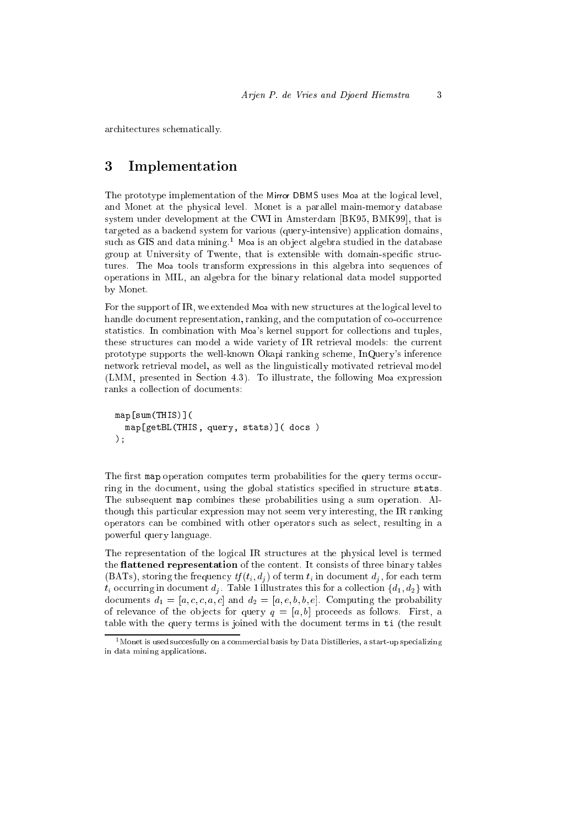ar
hite
tures s
hemati
ally.

## 3 Implementation

The prototype implementation of the Mirror DBMS uses Moa at the logical level, and Monet at the physical level. Monet is a parallel main-memory database system under development at the CWI in Amsterdam [BK95, BMK99], that is targeted as a ba
kend system for various (query-intensive) appli
ation domains, such as GIS and data mining.<sup>1</sup> Moa is an object algebra studied in the database group at University of Twente, that is extensible with domain-specific structures. The Moa tools transform expressions in this algebra into sequen
es of operations in MIL, an algebra for the binary relational data model supported by Monet.

For the support of IR, we extended Moa with new structures at the logical level to handle document representation, ranking, and the computation of co-occurrence statistics. In combination with Moa's kernel support for collections and tuples, these structures can model a wide variety of IR retrieval models: the current prototype supports the well-known Okapi ranking s
heme, InQuery's inferen
e network retrieval model, as well as the linguisti
ally motivated retrieval model (LMM, presented in Section 4.3). To illustrate, the following Moa expression ranks a olle
tion of do
uments:

```
map comes versions and version
  map[getBL(THIS, query, stats)℄( do
s )
);
```
The first map operation computes term probabilities for the query terms occurring in the document, using the global statistics specified in structure stats. The subsequent map ombines these probabilities using a sum operation. Although this particular expression may not seem very interesting, the IR ranking operators an be ombined with other operators su
h as sele
t, resulting in a powerful query language.

The representation of the logical IR structures at the physical level is termed the **flattened representation** of the content. It consists of three binary tables (BATs), storing the frequency  $tf(t_i, d_i)$  of term  $t_i$  in document  $d_i$ , for each term  $t_i$  occurring in document  $d_j$ . Table 1 illustrates this for a collection  $\{d_1, d_2\}$  with documents  $d_1 = [a, c, c, a, c]$  and  $d_2 = [a, e, b, b, e]$ . Computing the probability of relevance of the objects for query  $q = [a, b]$  proceeds as follows. First, a table with the query terms is joined with the document terms in ti (the result

 $1$  Monet is used succesfully on a commercial basis by Data Distilleries, a start-up specializing in data mining applications.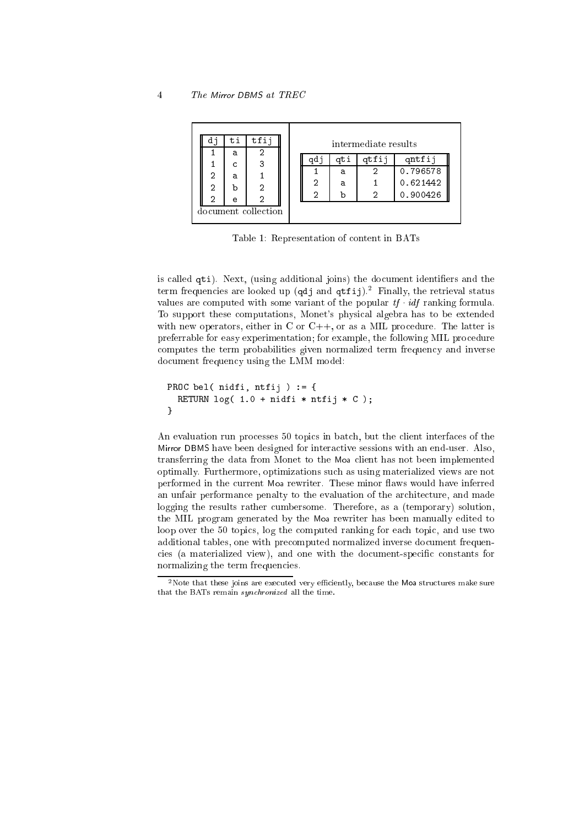### The Mirror DBMS at TREC

|  | d٦                  | ti | tfij |  | intermediate results |     |     |  |          |
|--|---------------------|----|------|--|----------------------|-----|-----|--|----------|
|  |                     | a  |      |  |                      |     |     |  |          |
|  |                     | C  | 3    |  |                      | adı | atı |  | qntfij   |
|  | 2                   | a  |      |  |                      |     | a   |  | 0.796578 |
|  | 2                   | b  | 2    |  |                      | 2   | a   |  | 0.621442 |
|  |                     |    |      |  |                      | 2   |     |  | 0.900426 |
|  | 2                   | e  | 2    |  |                      |     |     |  |          |
|  | document collection |    |      |  |                      |     |     |  |          |
|  |                     |    |      |  |                      |     |     |  |          |

Table 1: Representation of ontent in BATs

is called qti). Next, (using additional joins) the document identifiers and the term frequencies are looked up (qdj and qtfij). Pinally, the retrieval status values are computed with some variant of the popular  $tf \cdot idf$  ranking formula. To support these omputations, Monet's physi
al algebra has to be extended with new operators, either in  $C$  or  $C++$ , or as a MIL procedure. The latter is preferrable for easy experimentation; for example, the following MIL pro
edure computes the term probabilities given normalized term frequency and inverse document frequency using the LMM model:

```
PROC bel( nidfi, ntfij ) := {
  RETURN log( 1.0 + nidfi * ntfij * C );
}
```
An evaluation run processes 50 topics in batch, but the client interfaces of the Mirror DBMS have been designed for intera
tive sessions with an end-user. Also, transferring the data from Monet to the Moa lient has not been implemented optimally. Furthermore, optimizations su
h as using materialized views are not performed in the current Moa rewriter. These minor flaws would have inferred an unfair performance penalty to the evaluation of the architecture, and made logging the results rather umbersome. Therefore, as a (temporary) solution, the MIL program generated by the Moa rewriter has been manually edited to loop over the 50 topics, log the computed ranking for each topic, and use two additional tables, one with pre
omputed normalized inverse do
ument frequen cies (a materialized view), and one with the document-specific constants for normalizing the term frequen
ies.

 $\overline{4}$ 

 $^{2}$ Note that these joins are executed very efficiently, because the **Moa** structures make sure that the BATs remain *sunchronized* all the time.  $\theta$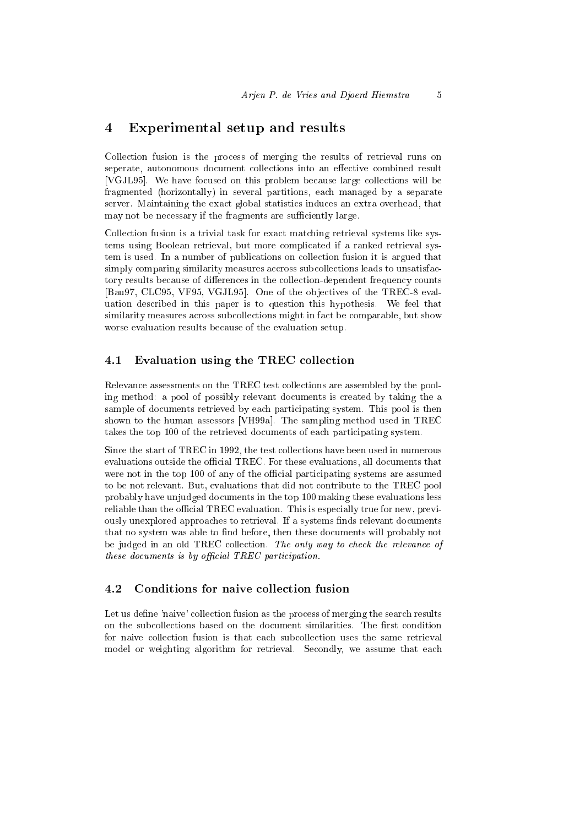## 4 Experimental setup and results

Colle
tion fusion is the pro
ess of merging the results of retrieval runs on seperate, autonomous document collections into an effective combined result [VGJL95]. We have focused on this problem because large collections will be fragmented (horizontally) in several partitions, ea
h managed by a separate server. Maintaining the exact global statistics induces an extra overhead, that may not be necessary if the fragments are sufficiently large.

Colle
tion fusion is a trivial task for exa
t mat
hing retrieval systems like systems using Boolean retrieval, but more ompli
ated if a ranked retrieval system is used. In a number of publications on collection fusion it is argued that simply comparing similarity measures accross subcollections leads to unsatisfactory results because of differences in the collection-dependent frequency counts [Bau97, CLC95, VF95, VGJL95]. One of the objectives of the TREC-8 evaluation des
ribed in this paper is to question this hypothesis. We feel that similarity measures across subcollections might in fact be comparable, but show worse evaluation results be
ause of the evaluation setup.

### Evaluation using the TREC collection

Relevance assessments on the TREC test collections are assembled by the pooling method: a pool of possibly relevant documents is created by taking the a sample of documents retrieved by each participating system. This pool is then shown to the human assessors [VH99a]. The sampling method used in TREC takes the top 100 of the retrieved documents of each participating system.

Since the start of TREC in 1992, the test collections have been used in numerous evaluations outside the official TREC. For these evaluations, all documents that were not in the top 100 of any of the official participating systems are assumed to be not relevant. But, evaluations that did not contribute to the TREC pool probably have unjudged do
uments in the top 100 making these evaluations less reliable than the official TREC evaluation. This is especially true for new, previously unexplored approaches to retrieval. If a systems finds relevant documents that no system was able to find before, then these documents will probably not be judged in an old TREC collection. The only way to check the relevance of these documents is by official  $TREC$  participation.

#### 4.2Conditions for naive collection fusion

Let us define 'naive' collection fusion as the process of merging the search results on the subcollections based on the document similarities. The first condition for naive collection fusion is that each subcollection uses the same retrieval model or weighting algorithm for retrieval. Secondly, we assume that each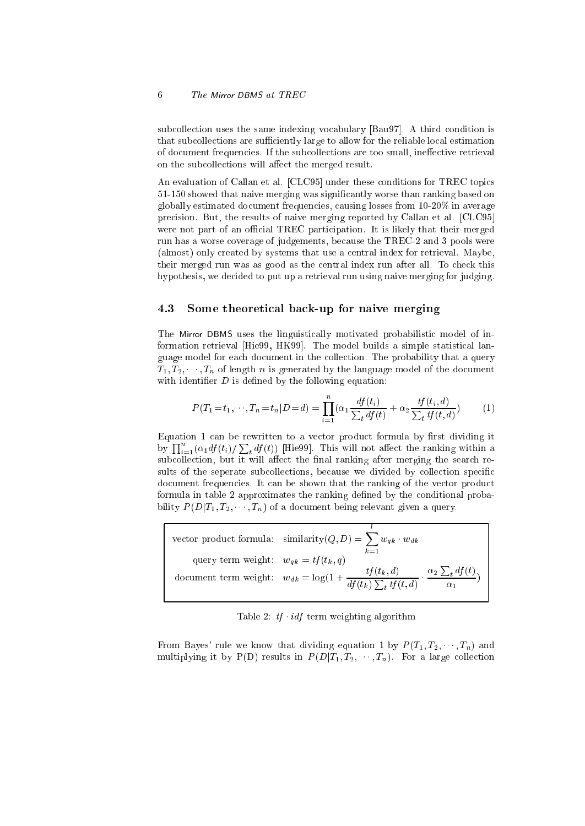subcollection uses the same indexing vocabulary [Bau97]. A third condition is that subcollections are sufficiently large to allow for the reliable local estimation of document frequencies. If the subcollections are too small, ineffective retrieval on the subcollections will affect the merged result.

An evaluation of Callan et al. [CLC95] under these conditions for TREC topics 51-150 showed that naive merging was significantly worse than ranking based on globally estimated document frequencies, causing losses from 10-20% in average precision. But, the results of naive merging reported by Callan et al. [CLC95] were not part of an official TREC participation. It is likely that their merged run has a worse overage of judgements, be
ause the TREC-2 and 3 pools were (almost) only reated by systems that use a entral index for retrieval. Maybe, their merged run was as good as the entral index run after all. To he
k this hypothesis, we de
ided to put up a retrieval run using naive merging for judging.

#### 4.3 Some theoreti
al ba
k-up for naive merging

The Mirror DBMS uses the linguistically motivated probabilistic model of information retrieval [Hie99, HK99]. The model builds a simple statistical language model for ea
h do
ument in the olle
tion. The probability that a query  $T_1, T_2, \dots, T_n$  of length *n* is generated by the language model of the document with identifier  $D$  is defined by the following equation:

$$
P(T_1 = t_1, \cdots, T_n = t_n | D = d) = \prod_{i=1}^n (\alpha_1 \frac{df(t_i)}{\sum_t df(t)} + \alpha_2 \frac{tf(t_i, d)}{\sum_t tf(t, d)}) \tag{1}
$$

Equation 1 can be rewritten to a vector product formula by first dividing it by  $\prod_{i=1}^n (\alpha_1 df(t_i) / \sum_t df(t))$  [Hie99]. This will not affect the ranking within a subcollection, but it will affect the final ranking after merging the search results of the seperate subcollections, because we divided by collection specific document frequencies. It can be shown that the ranking of the vector product formula in table 2 approximates the ranking defined by the conditional probability  $P(D|T_1, T_2, \dots, T_n)$  of a document being relevant given a query.

|                                          | vector product formula: $\text{similarity}(Q, D) = \sum w_{qk} \cdot w_{dk}$<br>$k=1$                                             |
|------------------------------------------|-----------------------------------------------------------------------------------------------------------------------------------|
| query term weight: $w_{ak} = tf(t_k, q)$ | document term weight: $w_{dk} = \log(1 + \frac{tf(t_k, d)}{df(t_k) \sum_t tf(t, d)} \cdot \frac{\alpha_2 \sum_t df(t)}{\alpha_1}$ |

Table 2:  $tf \cdot idf$  term weighting algorithm

From Bayes' rule we know that dividing equation 1 by  $P(T_1, T_2, \dots, T_n)$  and multiplying it by P(D) results in  $P(D|T_1, T_2, \cdots, T_n)$ . For a large collection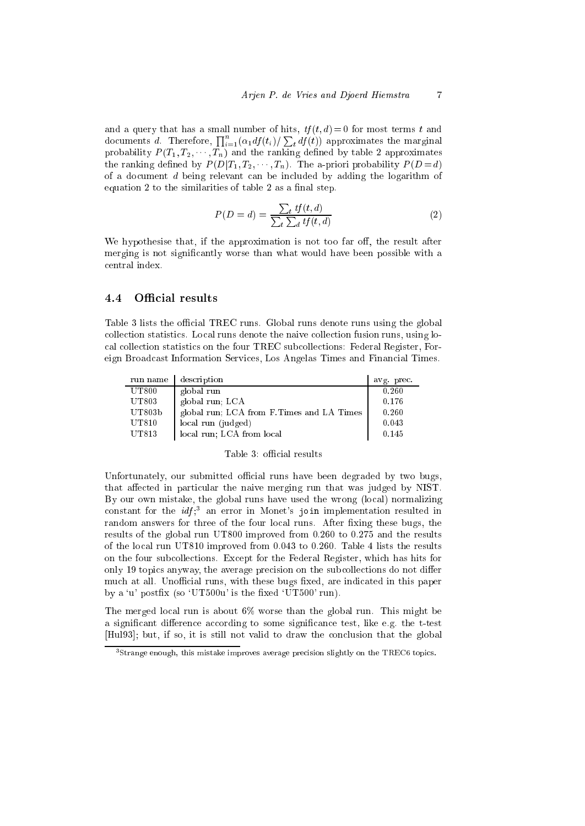and a query that has a small number of hits,  $tf(t, d) = 0$  for most terms t and documents d. Therefore,  $\prod_{i=1}^n (\alpha_1 df(t_i) / \sum_t df(t))$  approximates the marginal probability  $P(T_1, T_2, \dots, T_n)$  and the ranking defined by table 2 approximates the ranking defined by  $P(D|T_1, T_2, \dots, T_n)$ . The a-priori probability  $P(D = d)$ of a do
ument <sup>d</sup> being relevant an be in
luded by adding the logarithm of equation  $2$  to the similarities of table  $2$  as a final step.

$$
P(D = d) = \frac{\sum_{t} tf(t, d)}{\sum_{t} \sum_{d} tf(t, d)}
$$
\n(2)

We hypothesise that, if the approximation is not too far off, the result after merging is not significantly worse than what would have been possible with a entral index.

#### Official results  $4.4$

Table 3 lists the official TREC runs. Global runs denote runs using the global collection statistics. Local runs denote the naive collection fusion runs, using loal olle
tion statisti
s on the four TREC sub
olle
tions: Federal Register, Foreign Broad
ast Information Servi
es, Los Angelas Times and Finan
ial Times.

| run name           | description                                | avg prec. |
|--------------------|--------------------------------------------|-----------|
| UT800              | global run                                 | 0.260     |
| UT803              | global run; LCA                            | 0.176     |
| UT803 <sub>b</sub> | global run; LCA from F. Times and LA Times | 0.260     |
| UT810              | local run (judged)                         | 0.043     |
| UT813              | local run; LCA from local                  | 0.145     |

### Table 3: official results

Unfortunately, our submitted official runs have been degraded by two bugs, that affected in particular the naive merging run that was judged by NIST. By our own mistake, the global runs have used the wrong (local) normalizing constant for the  $\frac{if}{s}$  an error in Monet's join implementation resulted in random answers for three of the four local runs. After fixing these bugs, the results of the global run UT800 improved from 0.260 to 0.275 and the results of the lo
al run UT810 improved from 0.043 to 0.260. Table 4 lists the results on the four sub
olle
tions. Ex
ept for the Federal Register, whi
h has hits for only 19 topics anyway, the average precision on the subcollections do not differ much at all. Unofficial runs, with these bugs fixed, are indicated in this paper by a 'u' postfix (so 'UT500u' is the fixed 'UT500' run).

The merged lo
al run is about 6% worse than the global run. This might be a significant difference according to some significance test, like e.g. the t-test [Hul93]; but, if so, it is still not valid to draw the conclusion that the global

<sup>3</sup> Strange enough, this mistake improves average pre
ision slightly on the TREC6 topi
s.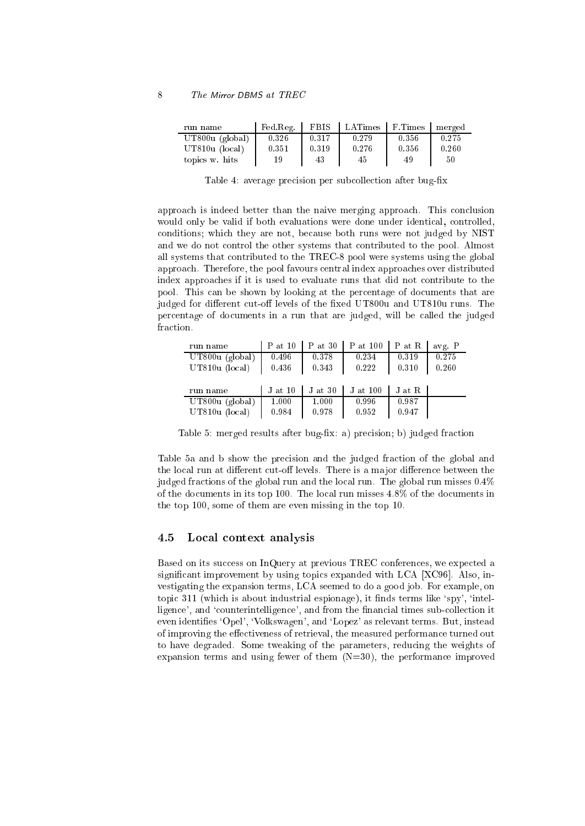| run name          | Fed Reg. | <b>FBIS</b> | LATimes | F. Times | merged |
|-------------------|----------|-------------|---------|----------|--------|
| $UT800u$ (global) | 0.326    | 0.317       | 0.279   | 0.356    | 0.275  |
| $UT810u$ (local)  | 0.351    | 0.319       | 0.276   | 0.356    | 0.260  |
| topics w. hits    | 19       | 43          | 45      | 49       | 50     |

Table 4: average precision per subcollection after bug-fix

approach is indeed better than the naive merging approach. This conclusion would only be valid if both evaluations were done under identical, controlled, onditions; whi
h they are not, be
ause both runs were not judged by NIST and we do not control the other systems that contributed to the pool. Almost all systems that ontributed to the TREC-8 pool were systems using the global approa
h. Therefore, the pool favours entral index approa
hes over distributed index approa
hes if it is used to evaluate runs that did not ontribute to the pool. This an be shown by looking at the per
entage of do
uments that are judged for different cut-off levels of the fixed UT800u and UT810u runs. The per
entage of do
uments in a run that are judged, will be alled the judged fraction.

| run name          | P at 10     | $P$ at 30 | P at 100 | P at R | avg. P |
|-------------------|-------------|-----------|----------|--------|--------|
| $UT800u$ (global) | 0.496       | 0.378     | 0.234    | 0.319  | 0.275  |
| UT810u (local)    | 0.436       | 0.343     | 0.222    | 0.310  | 0.260  |
|                   |             |           |          |        |        |
| run name          | $J$ at $10$ | $J$ at 30 | J at 100 | J at R |        |
| $UT800u$ (global) | 1.000       | 1.000     | 0.996    | 0.987  |        |
| UT810u (local)    | 0.984       | 0.978     | 0.952    | 0.947  |        |

Table 5: merged results after bug-fix: a) precision; b) judged fraction

Table 5a and b show the pre
ision and the judged fra
tion of the global and the local run at different cut-off levels. There is a major difference between the judged fractions of the global run and the local run. The global run misses  $0.4\%$ of the do
uments in its top 100. The lo
al run misses 4.8% of the do
uments in the top 100, some of them are even missing in the top 10.

#### 4.5Local context analysis

Based on its success on InQuery at previous TREC conferences, we expected a significant improvement by using topics expanded with LCA [XC96]. Also, investigating the expansion terms, LCA seemed to do a good job. For example, on topic 311 (which is about industrial espionage), it finds terms like 'spy', 'intelligence', and 'counterintelligence', and from the financial times sub-collection it even identifies 'Opel', 'Volkswagen', and 'Lopez' as relevant terms. But, instead of improving the effectiveness of retrieval, the measured performance turned out to have degraded. Some tweaking of the parameters, redu
ing the weights of expansion terms and using fewer of them  $(N=30)$ , the performance improved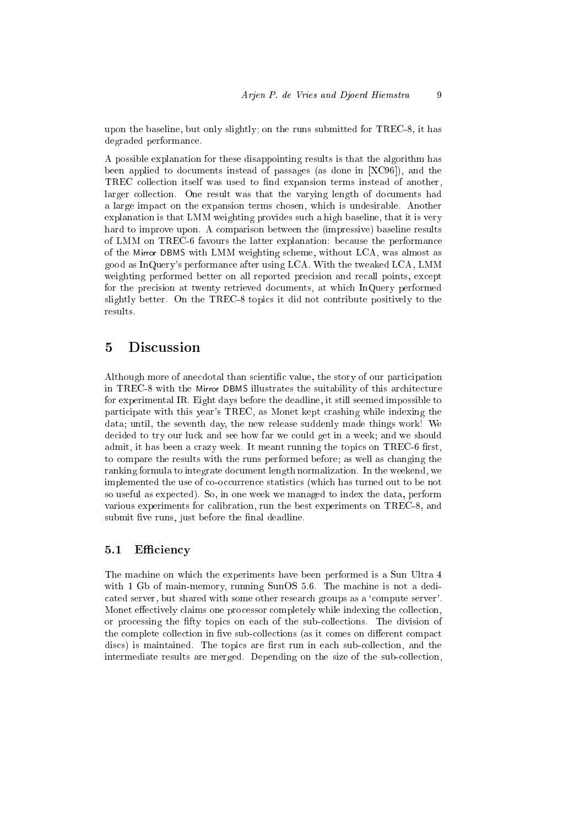upon the baseline, but only slightly; on the runs submitted for TREC-8, it has degraded performan
e.

A possible explanation for these disappointing results is that the algorithm has been applied to documents instead of passages (as done in  $[XC96]$ ), and the TREC collection itself was used to find expansion terms instead of another, larger collection. One result was that the varying length of documents had a large impa
t on the expansion terms hosen, whi
h is undesirable. Another explanation is that LMM weighting provides su
h a high baseline, that it is very hard to improve upon. A omparison between the (impressive) baseline results of LMM on TREC-6 favours the latter explanation: because the performance of the Mirror DBMS with LMM weighting s
heme, without LCA, was almost as good as InQuery's performan
e after using LCA. With the tweaked LCA, LMM weighting performed better on all reported precision and recall points, except for the pre
ision at twenty retrieved do
uments, at whi
h InQuery performed slightly better. On the TREC-8 topi
s it did not ontribute positively to the results.

## 5 Dis
ussion

Although more of anecdotal than scientific value, the story of our participation in TREC-8 with the Mirror DBMS illustrates the suitability of this architecture for experimental IR. Eight days before the deadline, it still seemed impossible to participate with this year's TREC, as Monet kept crashing while indexing the data; until, the seventh day, the new release suddenly made things work! We decided to try our luck and see how far we could get in a week; and we should admit, it has been a crazy week. It meant running the topics on TREC-6 first, to ompare the results with the runs performed before; as well as hanging the ranking formula to integrate do
ument length normalization. In the weekend, we implemented the use of co-occurrence statistics (which has turned out to be not so useful as expe
ted). So, in one week we managed to index the data, perform various experiments for alibration, run the best experiments on TREC-8, and submit five runs, just before the final deadline.

#### 5.1Efficiency

The machine on which the experiments have been performed is a Sun Ultra 4 with 1 Gb of main-memory, running SunOS 5.6. The machine is not a dedicated server, but shared with some other research groups as a 'compute server'. Monet effectively claims one processor completely while indexing the collection, or pro
essing the fty topi
s on ea
h of the subolle
tions. The division of the complete collection in five sub-collections (as it comes on different compact discs) is maintained. The topics are first run in each sub-collection, and the intermediate results are merged. Depending on the size of the sub-collection,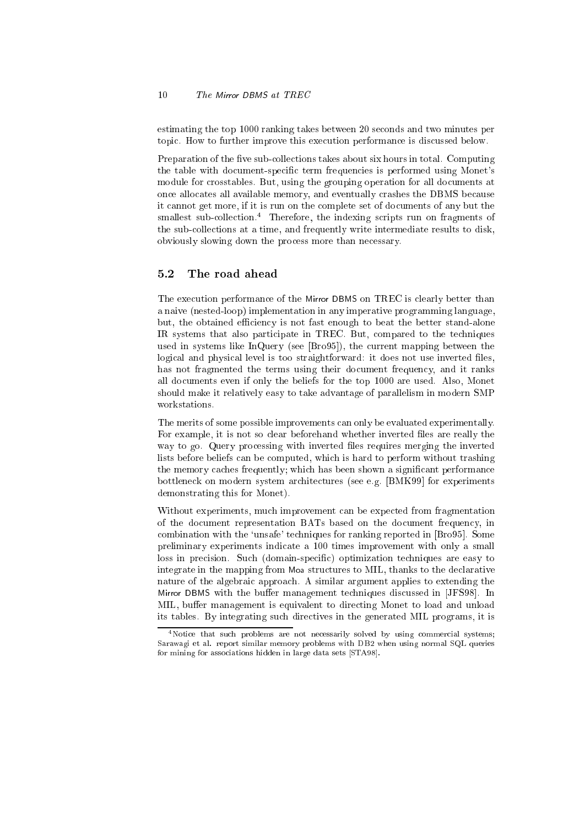estimating the top 1000 ranking takes between 20 se
onds and two minutes per topi
. How to further improve this exe
ution performan
e is dis
ussed below.

Preparation of the five sub-collections takes about six hours in total. Computing the table with document-specific term frequencies is performed using Monet's module for crosstables. But, using the grouping operation for all documents at once allocates all available memory, and eventually crashes the DBMS because it annot get more, if it is run on the omplete set of do
uments of any but the smallest sub-collection.<sup>4</sup> Therefore, the indexing scripts run on fragments of the subolle
tions at a time, and frequently write intermediate results to disk, obviously slowing down the pro
ess more than ne
essary.

#### 5.2The road ahead

The execution performance of the Mirror DBMS on TREC is clearly better than a naive (nested-loop) implementation in any imperative programming language, but, the obtained efficiency is not fast enough to beat the better stand-alone IR systems that also participate in TREC. But, compared to the techniques used in systems like InQuery (see  $\vert$ Bro95 $\vert$ ), the current mapping between the logical and physical level is too straightforward: it does not use inverted files, has not fragmented the terms using their document frequency, and it ranks all do
uments even if only the beliefs for the top 1000 are used. Also, Monet should make it relatively easy to take advantage of parallelism in modern SMP workstations.

The merits of some possible improvements an only be evaluated experimentally. For example, it is not so clear beforehand whether inverted files are really the way to go. Query pro
essing with inverted les requires merging the inverted lists before beliefs an be omputed, whi
h is hard to perform without trashing the memory caches frequently; which has been shown a significant performance bottleneck on modern system architectures (see e.g. [BMK99] for experiments demonstrating this for Monet).

Without experiments, much improvement can be expected from fragmentation of the do
ument representation BATs based on the do
ument frequen
y, in combination with the 'unsafe' techniques for ranking reported in [Bro95]. Some preliminary experiments indicate a 100 times improvement with only a small loss in precision. Such (domain-specific) optimization techniques are easy to integrate in the mapping from Moa structures to MIL, thanks to the declarative nature of the algebraic approach. A similar argument applies to extending the Mirror DBMS with the buffer management techniques discussed in [JFS98]. In MIL, buffer management is equivalent to directing Monet to load and unload its tables. By integrating su
h dire
tives in the generated MIL programs, it is

<sup>&</sup>lt;sup>4</sup>Notice that such problems are not necessarily solved by using commercial systems; Sarawagi et al. report similar memory problems with DB2 when using normal SQL queries for mining for associations hidden in large data sets [STA98].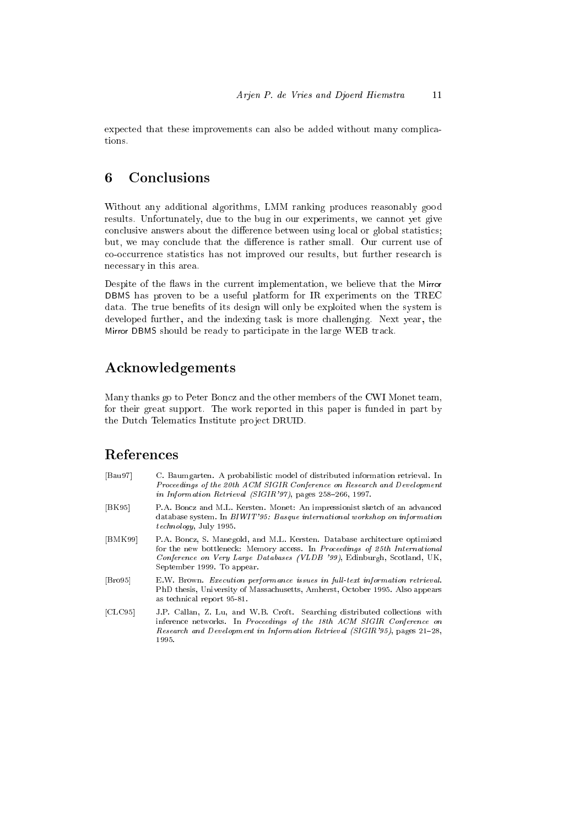expected that these improvements can also be added without many complications.

#### 6 Conclusions

Without any additional algorithms, LMM ranking produ
es reasonably good results. Unfortunately, due to the bug in our experiments, we annot yet give conclusive answers about the difference between using local or global statistics; but, we may conclude that the difference is rather small. Our current use of co-occurrence statistics has not improved our results, but further research is ne
essary in this area.

Despite of the flaws in the current implementation, we believe that the Mirror DBMS has proven to be a useful platform for IR experiments on the TREC data. The true benefits of its design will only be exploited when the system is developed further, and the indexing task is more hallenging. Next year, the Mirror DBMS should be ready to participate in the large WEB track.

## A
knowledgements

Many thanks go to Peter Bon
z and the other members of the CWI Monet team, for their great support. The work reported in this paper is funded in part by the Dutch Telematics Institute project DRUID.

## Referen
es

| [Bau97]               | C. Baumgarten. A probabilistic model of distributed information retrieval. In<br>Proceedings of the 20th ACM SIGIR Conference on Research and Development<br>in Information Retrieval (SIGIR'97), pages 258-266, 1997.                                             |
|-----------------------|--------------------------------------------------------------------------------------------------------------------------------------------------------------------------------------------------------------------------------------------------------------------|
| [BK95]                | P.A. Boncz and M.L. Kersten. Monet: An impressionist sketch of an advanced<br>database system. In BIWIT'95: Basque international workshop on information<br><i>technology</i> , July 1995.                                                                         |
| [BMK99]               | P.A. Boncz, S. Manegold, and M.L. Kersten. Database architecture optimized<br>for the new bottleneck: Memory access. In Proceedings of 25th International<br>Conference on Very Large Databases (VLDB '99), Edinburgh, Scotland, UK,<br>September 1999. To appear. |
| $\vert$ Bro95 $\vert$ | E.W. Brown. Execution performance issues in full-text information retrieval.<br>PhD thesis, University of Massachusetts, Amherst, October 1995. Also appears<br>as technical report 95-81.                                                                         |
| [CLC95]               | J.P. Callan, Z. Lu, and W.B. Croft. Searching distributed collections with<br>inference networks. In Proceedings of the 18th ACM SIGIR Conference on<br>Research and Development in Information Retrieval (SIGIR'95), pages 21-28,<br>1995.                        |